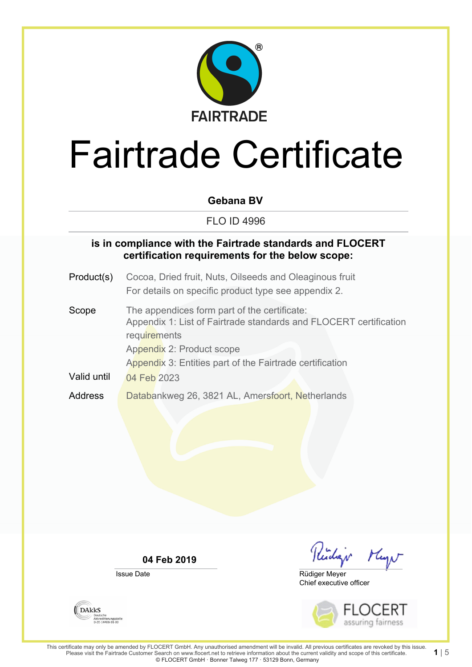

#### **Gebana BV**

#### FLO ID 4996

#### **is in compliance with the Fairtrade standards and FLOCERT certification requirements for the below scope:**

- Product(s) Cocoa, Dried fruit, Nuts, Oilseeds and Oleaginous fruit For details on specific product type see appendix 2.
- Scope The appendices form part of the certificate: Appendix 1: List of Fairtrade standards and FLOCERT certification **requirements** Appendix 2: Product scope Appendix 3: Entities part of the Fairtrade certification Valid until 04 Feb 2023 Address **Databankweg 26, 3821 AL, Amersfoort, Netherlands**

**04 Feb 2019**

Issue Date

Kidar Mayn

Chief executive officer Rüdiger Meyer



 $115$ 

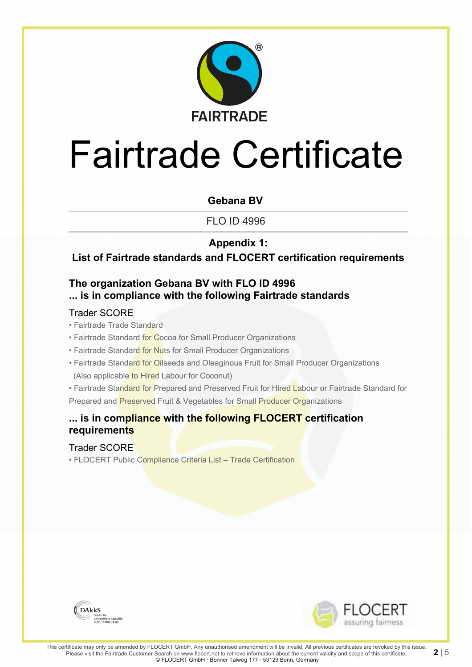

#### **Gebana BV**

FLO ID 4996

#### **Appendix 1:**

#### **List of Fairtrade standards and FLOCERT certification requirements**

### **The organization Gebana BV with FLO ID 4996 ... is in compliance with the following Fairtrade standards**

#### Trader SCORE

- Fairtrade Trade Standard
- Fairtrade Standard for Cocoa for Small Producer Organizations
- Fairtrade Standard for Nuts for Small Producer Organizations
- Fairtrade Standard for Oilseeds and Oleaginous Fruit for Small Producer Organizations (Also applicable to Hired Labour for Coconut)

• Fairtrade Standard for Prepared and Preserved Fruit for Hired Labour or Fairtrade Standard for Prepared and Preserved Fruit & Vegetables for Small Producer Organizations

#### **... is in compliance with the following FLOCERT certification requirements**

#### Trader SCORE

• FLOCERT Public Compliance Criteria List – Trade Certification



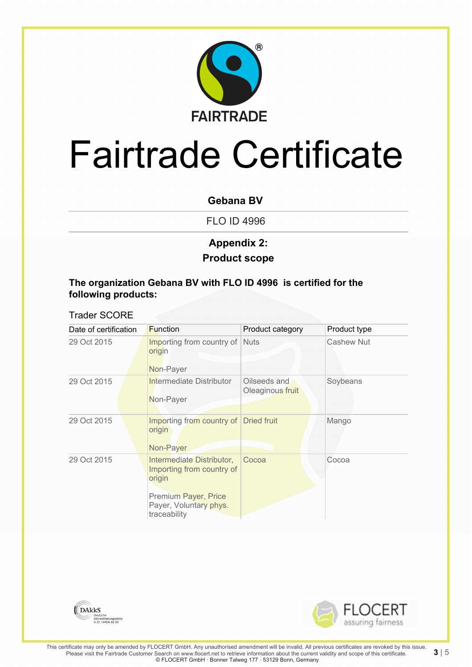

#### **Gebana BV**

FLO ID 4996

### **Product scope Appendix 2:**

#### **The organization Gebana BV with FLO ID 4996 is certified for the following products:**

#### Trader SCORE

| Date of certification | <b>Function</b>                                                                                                                    | Product category                 | Product type      |
|-----------------------|------------------------------------------------------------------------------------------------------------------------------------|----------------------------------|-------------------|
| 29 Oct 2015           | Importing from country of<br>origin<br>Non-Payer                                                                                   | <b>Nuts</b>                      | <b>Cashew Nut</b> |
|                       |                                                                                                                                    |                                  |                   |
| 29 Oct 2015           | Intermediate Distributor<br>Non-Payer                                                                                              | Oilseeds and<br>Oleaginous fruit | Soybeans          |
| 29 Oct 2015           | Importing from country of Dried fruit<br>origin<br>Non-Payer                                                                       |                                  | Mango             |
| 29 Oct 2015           | Intermediate Distributor,<br>Importing from country of<br>origin<br>Premium Payer, Price<br>Payer, Voluntary phys.<br>traceability | Cocoa                            | Cocoa             |



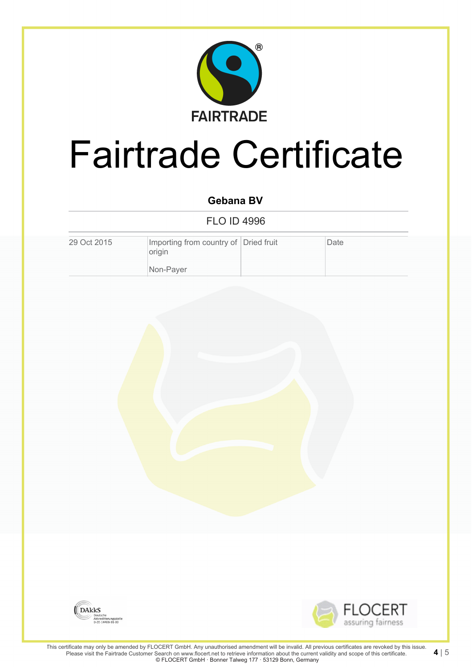

### **Gebana BV**

FLO ID 4996

| 29 Oct 2015 | Importing from country of Dried fruit<br>origin | Date |
|-------------|-------------------------------------------------|------|
|             | Non-Payer                                       |      |